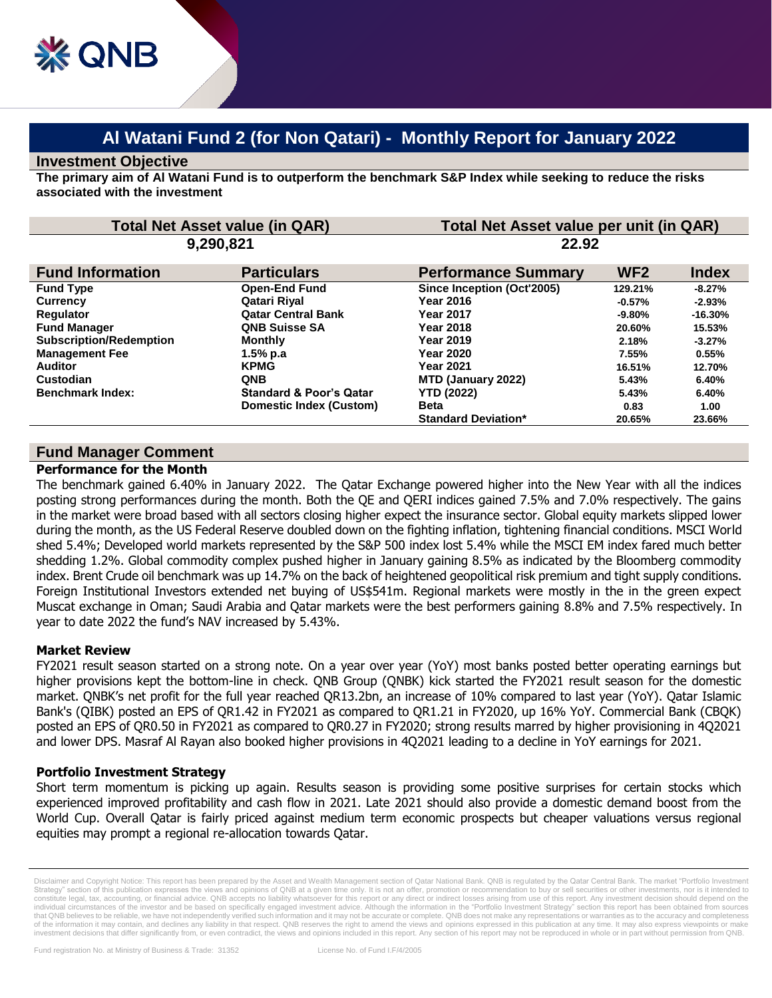# **Al Watani Fund 2 (for Non Qatari) - Monthly Report for January 2022**

### **Investment Objective**

**The primary aim of Al Watani Fund is to outperform the benchmark S&P Index while seeking to reduce the risks associated with the investment**

| <b>Total Net Asset value (in QAR)</b> |                                    | Total Net Asset value per unit (in QAR) |                 |              |
|---------------------------------------|------------------------------------|-----------------------------------------|-----------------|--------------|
| 9,290,821                             |                                    | 22.92                                   |                 |              |
| <b>Fund Information</b>               | <b>Particulars</b>                 | <b>Performance Summary</b>              | WF <sub>2</sub> | <b>Index</b> |
| <b>Fund Type</b>                      | <b>Open-End Fund</b>               | Since Inception (Oct'2005)              | 129.21%         | $-8.27%$     |
| <b>Currency</b>                       | Qatari Riyal                       | <b>Year 2016</b>                        | $-0.57\%$       | $-2.93%$     |
| Regulator                             | <b>Qatar Central Bank</b>          | <b>Year 2017</b>                        | $-9.80\%$       | $-16.30%$    |
| <b>Fund Manager</b>                   | <b>QNB Suisse SA</b>               | <b>Year 2018</b>                        | 20.60%          | 15.53%       |
| <b>Subscription/Redemption</b>        | <b>Monthly</b>                     | <b>Year 2019</b>                        | 2.18%           | $-3.27%$     |
| <b>Management Fee</b>                 | 1.5% p.a                           | <b>Year 2020</b>                        | 7.55%           | 0.55%        |
| <b>Auditor</b>                        | <b>KPMG</b>                        | <b>Year 2021</b>                        | 16.51%          | 12.70%       |
| Custodian                             | <b>QNB</b>                         | MTD (January 2022)                      | 5.43%           | 6.40%        |
| <b>Benchmark Index:</b>               | <b>Standard &amp; Poor's Qatar</b> | <b>YTD (2022)</b>                       | 5.43%           | 6.40%        |
|                                       | Domestic Index (Custom)            | <b>Beta</b>                             | 0.83            | 1.00         |
|                                       |                                    | <b>Standard Deviation*</b>              | 20.65%          | 23.66%       |

## **Fund Manager Comment**

#### **Performance for the Month**

The benchmark gained 6.40% in January 2022. The Qatar Exchange powered higher into the New Year with all the indices posting strong performances during the month. Both the QE and QERI indices gained 7.5% and 7.0% respectively. The gains in the market were broad based with all sectors closing higher expect the insurance sector. Global equity markets slipped lower during the month, as the US Federal Reserve doubled down on the fighting inflation, tightening financial conditions. MSCI World shed 5.4%; Developed world markets represented by the S&P 500 index lost 5.4% while the MSCI EM index fared much better shedding 1.2%. Global commodity complex pushed higher in January gaining 8.5% as indicated by the Bloomberg commodity index. Brent Crude oil benchmark was up 14.7% on the back of heightened geopolitical risk premium and tight supply conditions. Foreign Institutional Investors extended net buying of US\$541m. Regional markets were mostly in the in the green expect Muscat exchange in Oman; Saudi Arabia and Qatar markets were the best performers gaining 8.8% and 7.5% respectively. In year to date 2022 the fund's NAV increased by 5.43%.

#### **Market Review**

FY2021 result season started on a strong note. On a year over year (YoY) most banks posted better operating earnings but higher provisions kept the bottom-line in check. QNB Group (QNBK) kick started the FY2021 result season for the domestic market. QNBK's net profit for the full year reached QR13.2bn, an increase of 10% compared to last year (YoY). Qatar Islamic Bank's (QIBK) posted an EPS of QR1.42 in FY2021 as compared to QR1.21 in FY2020, up 16% YoY. Commercial Bank (CBQK) posted an EPS of QR0.50 in FY2021 as compared to QR0.27 in FY2020; strong results marred by higher provisioning in 4Q2021 and lower DPS. Masraf Al Rayan also booked higher provisions in 4Q2021 leading to a decline in YoY earnings for 2021.

#### **Portfolio Investment Strategy**

Short term momentum is picking up again. Results season is providing some positive surprises for certain stocks which experienced improved profitability and cash flow in 2021. Late 2021 should also provide a domestic demand boost from the World Cup. Overall Qatar is fairly priced against medium term economic prospects but cheaper valuations versus regional equities may prompt a regional re-allocation towards Qatar.

Disclaimer and Copyright Notice: This report has been prepared by the Asset and Wealth Management section of Qatar National Bank. QNB is regulated by the Qatar Central Bank. The market "Portfolio Investment Strategy" section of this publication expresses the views and opinions of QNB at a given time only. It is not an offer, promotion or recommendation to buy or sell securities or other investments, nor is it intended to constitute legal, tax, accounting, or financial advice. QNB accepts no liability whatsoever for this report or any direct or indirect losses arising from use of this report. Any investment decision should depend on the individual circumstances of the investor and be based on specifically engaged investment advice. Although the information in the "Portfolio investment Strategy" section this report has been obtained from sources that QNB believes to be reliable, we have not independently verified such information and it may not be accurate or complete. QNB does not make any representations or warranties as to the accuracy and completeness of the information it may contain, and declines any liability in that respect. QNB reserves the right to amend the views and opinions expressed in this publication at any time. It may also express viewpoints or make investment decisions that differ significantly from, or even contradict, the views and opinions included in this report. Any section of his report may not be reproduced in whole or in part without permission from QNB.